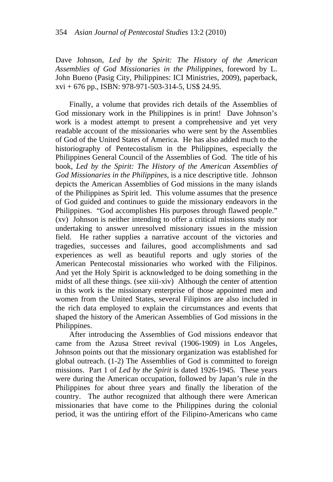Dave Johnson, *Led by the Spirit: The History of the American Assemblies of God Missionaries in the Philippines*, foreword by L. John Bueno (Pasig City, Philippines: ICI Ministries, 2009), paperback, xvi + 676 pp., ISBN: 978-971-503-314-5, US\$ 24.95.

Finally, a volume that provides rich details of the Assemblies of God missionary work in the Philippines is in print! Dave Johnson's work is a modest attempt to present a comprehensive and yet very readable account of the missionaries who were sent by the Assemblies of God of the United States of America. He has also added much to the historiography of Pentecostalism in the Philippines, especially the Philippines General Council of the Assemblies of God. The title of his book, *Led by the Spirit: The History of the American Assemblies of God Missionaries in the Philippines*, is a nice descriptive title. Johnson depicts the American Assemblies of God missions in the many islands of the Philippines as Spirit led. This volume assumes that the presence of God guided and continues to guide the missionary endeavors in the Philippines. "God accomplishes His purposes through flawed people." (xv) Johnson is neither intending to offer a critical missions study nor undertaking to answer unresolved missionary issues in the mission field. He rather supplies a narrative account of the victories and tragedies, successes and failures, good accomplishments and sad experiences as well as beautiful reports and ugly stories of the American Pentecostal missionaries who worked with the Filipinos. And yet the Holy Spirit is acknowledged to be doing something in the midst of all these things. (see xiii-xiv) Although the center of attention in this work is the missionary enterprise of those appointed men and women from the United States, several Filipinos are also included in the rich data employed to explain the circumstances and events that shaped the history of the American Assemblies of God missions in the Philippines.

After introducing the Assemblies of God missions endeavor that came from the Azusa Street revival (1906-1909) in Los Angeles, Johnson points out that the missionary organization was established for global outreach. (1-2) The Assemblies of God is committed to foreign missions. Part 1 of *Led by the Spirit* is dated 1926-1945. These years were during the American occupation, followed by Japan's rule in the Philippines for about three years and finally the liberation of the country. The author recognized that although there were American missionaries that have come to the Philippines during the colonial period, it was the untiring effort of the Filipino-Americans who came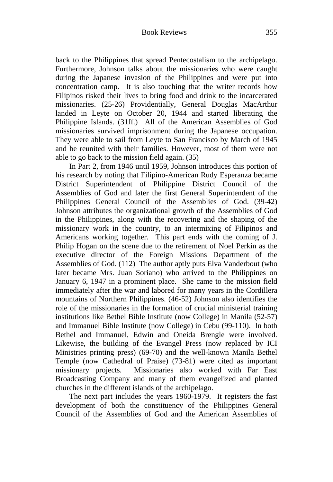back to the Philippines that spread Pentecostalism to the archipelago. Furthermore, Johnson talks about the missionaries who were caught during the Japanese invasion of the Philippines and were put into concentration camp. It is also touching that the writer records how Filipinos risked their lives to bring food and drink to the incarcerated missionaries. (25-26) Providentially, General Douglas MacArthur landed in Leyte on October 20, 1944 and started liberating the Philippine Islands. (31ff.) All of the American Assemblies of God missionaries survived imprisonment during the Japanese occupation. They were able to sail from Leyte to San Francisco by March of 1945 and be reunited with their families. However, most of them were not able to go back to the mission field again. (35)

In Part 2, from 1946 until 1959, Johnson introduces this portion of his research by noting that Filipino-American Rudy Esperanza became District Superintendent of Philippine District Council of the Assemblies of God and later the first General Superintendent of the Philippines General Council of the Assemblies of God. (39-42) Johnson attributes the organizational growth of the Assemblies of God in the Philippines, along with the recovering and the shaping of the missionary work in the country, to an intermixing of Filipinos and Americans working together. This part ends with the coming of J. Philip Hogan on the scene due to the retirement of Noel Perkin as the executive director of the Foreign Missions Department of the Assemblies of God. (112) The author aptly puts Elva Vanderbout (who later became Mrs. Juan Soriano) who arrived to the Philippines on January 6, 1947 in a prominent place. She came to the mission field immediately after the war and labored for many years in the Cordillera mountains of Northern Philippines. (46-52) Johnson also identifies the role of the missionaries in the formation of crucial ministerial training institutions like Bethel Bible Institute (now College) in Manila (52-57) and Immanuel Bible Institute (now College) in Cebu (99-110). In both Bethel and Immanuel, Edwin and Oneida Brengle were involved. Likewise, the building of the Evangel Press (now replaced by ICI Ministries printing press) (69-70) and the well-known Manila Bethel Temple (now Cathedral of Praise) (73-81) were cited as important missionary projects. Missionaries also worked with Far East Broadcasting Company and many of them evangelized and planted churches in the different islands of the archipelago.

The next part includes the years 1960-1979. It registers the fast development of both the constituency of the Philippines General Council of the Assemblies of God and the American Assemblies of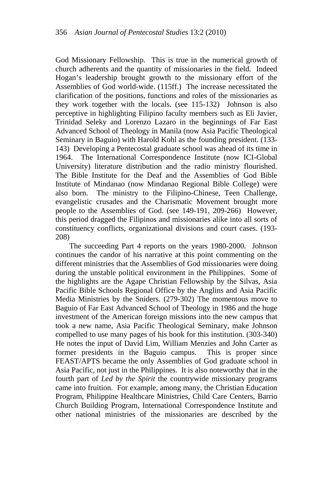God Missionary Fellowship. This is true in the numerical growth of church adherents and the quantity of missionaries in the field. Indeed Hogan's leadership brought growth to the missionary effort of the Assemblies of God world-wide. (115ff.) The increase necessitated the clarification of the positions, functions and roles of the missionaries as they work together with the locals. (see 115-132) Johnson is also perceptive in highlighting Filipino faculty members such as Eli Javier, Trinidad Seleky and Lorenzo Lazaro in the beginnings of Far East Advanced School of Theology in Manila (now Asia Pacific Theological Seminary in Baguio) with Harold Kohl as the founding president. (133- 143) Developing a Pentecostal graduate school was ahead of its time in 1964. The International Correspondence Institute (now ICI-Global University) literature distribution and the radio ministry flourished. The Bible Institute for the Deaf and the Assemblies of God Bible Institute of Mindanao (now Mindanao Regional Bible College) were also born. The ministry to the Filipino-Chinese, Teen Challenge, evangelistic crusades and the Charismatic Movement brought more people to the Assemblies of God. (see 149-191, 209-266) However, this period dragged the Filipinos and missionaries alike into all sorts of constituency conflicts, organizational divisions and court cases. (193- 208)

The succeeding Part 4 reports on the years 1980-2000. Johnson continues the candor of his narrative at this point commenting on the different ministries that the Assemblies of God missionaries were doing during the unstable political environment in the Philippines. Some of the highlights are the Agape Christian Fellowship by the Silvas, Asia Pacific Bible Schools Regional Office by the Anglins and Asia Pacific Media Ministries by the Sniders. (279-302) The momentous move to Baguio of Far East Advanced School of Theology in 1986 and the huge investment of the American foreign missions into the new campus that took a new name, Asia Pacific Theological Seminary, make Johnson compelled to use many pages of his book for this institution. (303-340) He notes the input of David Lim, William Menzies and John Carter as former presidents in the Baguio campus. This is proper since FEAST/APTS became the only Assemblies of God graduate school in Asia Pacific, not just in the Philippines. It is also noteworthy that in the fourth part of *Led by the Spirit* the countrywide missionary programs came into fruition. For example, among many, the Christian Education Program, Philippine Healthcare Ministries, Child Care Centers, Barrio Church Building Program, International Correspondence Institute and other national ministries of the missionaries are described by the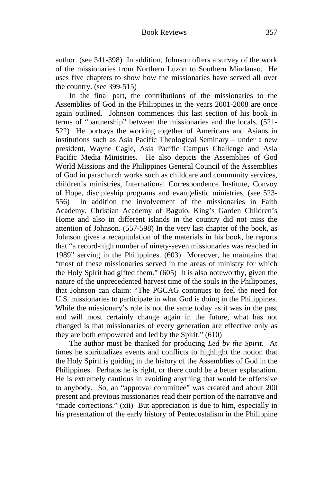author. (see 341-398) In addition, Johnson offers a survey of the work of the missionaries from Northern Luzon to Southern Mindanao. He uses five chapters to show how the missionaries have served all over the country. (see 399-515)

In the final part, the contributions of the missionaries to the Assemblies of God in the Philippines in the years 2001-2008 are once again outlined. Johnson commences this last section of his book in terms of "partnership" between the missionaries and the locals. (521- 522) He portrays the working together of Americans and Asians in institutions such as Asia Pacific Theological Seminary – under a new president, Wayne Cagle, Asia Pacific Campus Challenge and Asia Pacific Media Ministries. He also depicts the Assemblies of God World Missions and the Philippines General Council of the Assemblies of God in parachurch works such as childcare and community services, children's ministries, International Correspondence Institute, Convoy of Hope, discipleship programs and evangelistic ministries. (see 523- 556) In addition the involvement of the missionaries in Faith Academy, Christian Academy of Baguio, King's Garden Children's Home and also in different islands in the country did not miss the attention of Johnson. (557-598) In the very last chapter of the book, as Johnson gives a recapitulation of the materials in his book, he reports that "a record-high number of ninety-seven missionaries was reached in 1989" serving in the Philippines. (603) Moreover, he maintains that "most of these missionaries served in the areas of ministry for which the Holy Spirit had gifted them." (605) It is also noteworthy, given the nature of the unprecedented harvest time of the souls in the Philippines, that Johnson can claim: "The PGCAG continues to feel the need for U.S. missionaries to participate in what God is doing in the Philippines. While the missionary's role is not the same today as it was in the past and will most certainly change again in the future, what has not changed is that missionaries of every generation are effective only as they are both empowered and led by the Spirit." (610)

The author must be thanked for producing *Led by the Spirit*. At times he spiritualizes events and conflicts to highlight the notion that the Holy Spirit is guiding in the history of the Assemblies of God in the Philippines. Perhaps he is right, or there could be a better explanation. He is extremely cautious in avoiding anything that would be offensive to anybody. So, an "approval committee" was created and about 200 present and previous missionaries read their portion of the narrative and "made corrections." (xii) But appreciation is due to him, especially in his presentation of the early history of Pentecostalism in the Philippine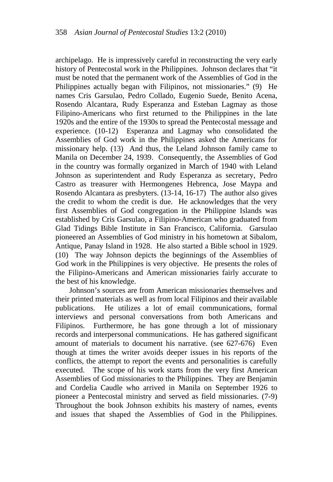archipelago. He is impressively careful in reconstructing the very early history of Pentecostal work in the Philippines. Johnson declares that "it must be noted that the permanent work of the Assemblies of God in the Philippines actually began with Filipinos, not missionaries." (9) He names Cris Garsulao, Pedro Collado, Eugenio Suede, Benito Acena, Rosendo Alcantara, Rudy Esperanza and Esteban Lagmay as those Filipino-Americans who first returned to the Philippines in the late 1920s and the entire of the 1930s to spread the Pentecostal message and experience. (10-12) Esperanza and Lagmay who consolidated the Assemblies of God work in the Philippines asked the Americans for missionary help. (13) And thus, the Leland Johnson family came to Manila on December 24, 1939. Consequently, the Assemblies of God in the country was formally organized in March of 1940 with Leland Johnson as superintendent and Rudy Esperanza as secretary, Pedro Castro as treasurer with Hermongenes Hebrenca, Jose Maypa and Rosendo Alcantara as presbyters. (13-14, 16-17) The author also gives the credit to whom the credit is due. He acknowledges that the very first Assemblies of God congregation in the Philippine Islands was established by Cris Garsulao, a Filipino-American who graduated from Glad Tidings Bible Institute in San Francisco, California. Garsulao pioneered an Assemblies of God ministry in his hometown at Sibalom, Antique, Panay Island in 1928. He also started a Bible school in 1929. (10) The way Johnson depicts the beginnings of the Assemblies of God work in the Philippines is very objective. He presents the roles of the Filipino-Americans and American missionaries fairly accurate to the best of his knowledge.

Johnson's sources are from American missionaries themselves and their printed materials as well as from local Filipinos and their available publications. He utilizes a lot of email communications, formal interviews and personal conversations from both Americans and Filipinos. Furthermore, he has gone through a lot of missionary records and interpersonal communications. He has gathered significant amount of materials to document his narrative. (see 627-676) Even though at times the writer avoids deeper issues in his reports of the conflicts, the attempt to report the events and personalities is carefully executed. The scope of his work starts from the very first American Assemblies of God missionaries to the Philippines. They are Benjamin and Cordelia Caudle who arrived in Manila on September 1926 to pioneer a Pentecostal ministry and served as field missionaries. (7-9) Throughout the book Johnson exhibits his mastery of names, events and issues that shaped the Assemblies of God in the Philippines.